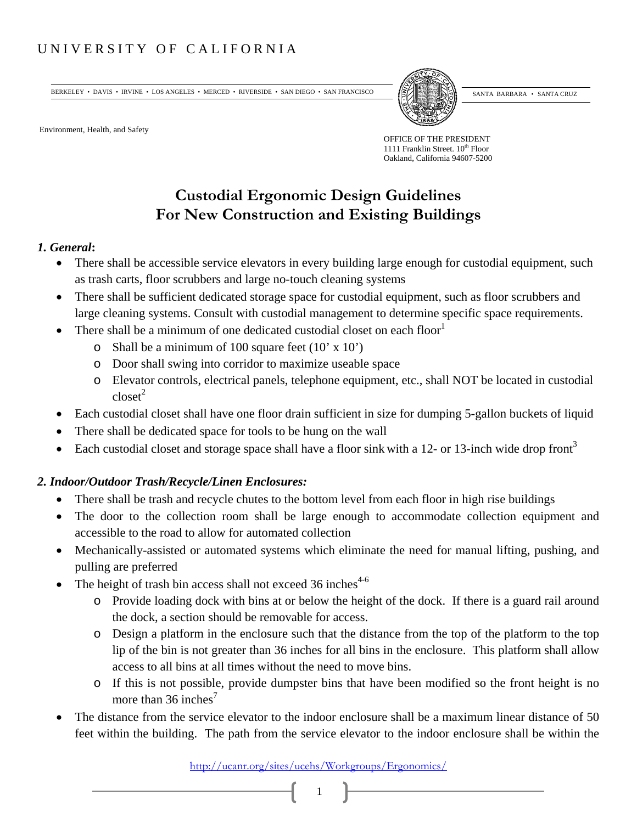## UNIVERSITY OF CALIFORNIA

BERKELEY • DAVIS • IRVINE • LOS ANGELES • MERCED • RIVERSIDE • SAN DIEGO • SAN FRANCISCO  $\sqrt{\frac{3}{2}}\sqrt{\frac{3}{2}}\sqrt{\frac{3}{2}}$ SANTA BARBARA • SANTA CRUZ

Environment, Health, and Safety

OFFICE OF THE PRESIDENT 1111 Franklin Street.  $10^{th}$  Floor Oakland, California 94607-5200

# **Custodial Ergonomic Design Guidelines For New Construction and Existing Buildings**

#### *1. General***:**

- There shall be accessible service elevators in every building large enough for custodial equipment, such as trash carts, floor scrubbers and large no-touch cleaning systems
- There shall be sufficient dedicated storage space for custodial equipment, such as floor scrubbers and large cleaning systems. Consult with custodial management to determine specific space requirements.
- There shall be a minimum of one dedicated custodial closet on each floor
	- $\circ$  Shall be a minimum of 100 square feet (10' x 10')
	- o Door shall swing into corridor to maximize useable space
	- o Elevator controls, electrical panels, telephone equipment, etc., shall NOT be located in custodial  $\text{close}^2$
- Each custodial closet shall have one floor drain sufficient in size for dumping 5-gallon buckets of liquid
- There shall be dedicated space for tools to be hung on the wall
- Each custodial closet and storage space shall have a floor sink with a 12- or 13-inch wide drop front<sup>3</sup>

### *2. Indoor/Outdoor Trash/Recycle/Linen Enclosures:*

- There shall be trash and recycle chutes to the bottom level from each floor in high rise buildings
- The door to the collection room shall be large enough to accommodate collection equipment and accessible to the road to allow for automated collection
- Mechanically-assisted or automated systems which eliminate the need for manual lifting, pushing, and pulling are preferred
- The height of trash bin access shall not exceed  $36$  inches<sup>4-6</sup>
	- o Provide loading dock with bins at or below the height of the dock. If there is a guard rail around the dock, a section should be removable for access.
	- o Design a platform in the enclosure such that the distance from the top of the platform to the top lip of the bin is not greater than 36 inches for all bins in the enclosure. This platform shall allow access to all bins at all times without the need to move bins.
	- o If this is not possible, provide dumpster bins that have been modified so the front height is no more than  $36$  inches<sup>7</sup>
- The distance from the service elevator to the indoor enclosure shall be a maximum linear distance of 50 feet within the building. The path from the service elevator to the indoor enclosure shall be within the

http://ucanr.org/sites/ucehs/Workgroups/Ergonomics/